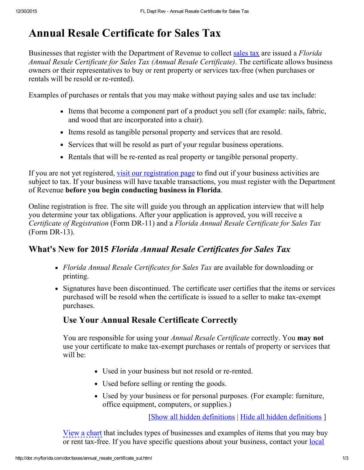# Annual Resale Certificate for Sales Tax

Businesses that register with the Department of Revenue to collect [sales](http://dor.myflorida.com/dor/taxes/sales_tax.html) tax are issued a Florida Annual Resale Certificate for Sales Tax (Annual Resale Certificate). The certificate allows business owners or their representatives to buy or rent property or services tax-free (when purchases or rentals will be resold or re-rented).

Examples of purchases or rentals that you may make without paying sales and use tax include:

- Items that become a component part of a product you sell (for example: nails, fabric, and wood that are incorporated into a chair).
- Items resold as tangible personal property and services that are resold.
- Services that will be resold as part of your regular business operations.
- Rentals that will be re-rented as real property or tangible personal property.

If you are not yet registered, visit our [registration](http://dor.myflorida.com/dor/taxes/registration.html) page to find out if your business activities are subject to tax. If your business will have taxable transactions, you must register with the Department of Revenue before you begin conducting business in Florida.

Online registration is free. The site will guide you through an application interview that will help you determine your tax obligations. After your application is approved, you will receive a Certificate of Registration (Form DR-11) and a Florida Annual Resale Certificate for Sales Tax  $(Form DR-13).$ 

## What's New for 2015 Florida Annual Resale Certificates for Sales Tax

- Florida Annual Resale Certificates for Sales Tax are available for downloading or printing.
- Signatures have been discontinued. The certificate user certifies that the items or services purchased will be resold when the certificate is issued to a seller to make tax-exempt purchases.

## Use Your Annual Resale Certificate Correctly

You are responsible for using your *Annual Resale Certificate* correctly. You **may not** use your certificate to make tax-exempt purchases or rentals of property or services that will be:

- Used in your business but not resold or re-rented.
- Used before selling or renting the goods.
- Used by your business or for personal purposes. (For example: furniture, office equipment, computers, or supplies.)

[Show all hidden definitions | Hide all hidden definitions ]

View a chart that includes types of businesses and examples of items that you may buy or rent tax-free. If you have specific [questions](http://dor.myflorida.com/dor/taxes/servicecenters.html) about your business, contact your <u>local</u>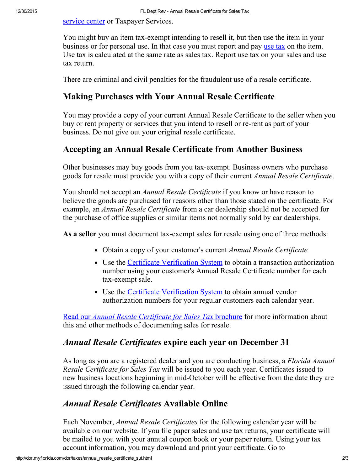service center or [Taxpayer](http://dor.myflorida.com/dor/taxes/servicecenters.html) Services.

You might buy an item tax-exempt intending to resell it, but then use the item in your business or for personal use. In that case you must report and pay [use](http://dor.myflorida.com/dor/taxes/sales_tax.html) tax on the item. Use tax is calculated at the same rate as sales tax. Report use tax on your sales and use tax return.

There are criminal and civil penalties for the fraudulent use of a resale certificate.

#### Making Purchases with Your Annual Resale Certificate

You may provide a copy of your current Annual Resale Certificate to the seller when you buy or rent property or services that you intend to resell or re-rent as part of your business. Do not give out your original resale certificate.

## Accepting an Annual Resale Certificate from Another Business

Other businesses may buy goods from you tax-exempt. Business owners who purchase goods for resale must provide you with a copy of their current Annual Resale Certificate.

You should not accept an *Annual Resale Certificate* if you know or have reason to believe the goods are purchased for reasons other than those stated on the certificate. For example, an *Annual Resale Certificate* from a car dealership should not be accepted for the purchase of office supplies or similar items not normally sold by car dealerships.

As a seller you must document tax-exempt sales for resale using one of three methods:

- Obtain a copy of your customer's current Annual Resale Certificate
- Use the Certificate [Verification](http://dor.myflorida.com/dor/cgi-bin/redirect.cgi?dest=https://verify-taxcerts.state.fl.us&type=int&origin=Sales%20Tax) System to obtain a transaction authorization number using your customer's Annual Resale Certificate number for each tax-exempt sale.
- Use the Certificate [Verification](http://dor.myflorida.com/dor/cgi-bin/redirect.cgi?dest=https://verify-taxcerts.state.fl.us&type=int&origin=Sales%20Tax) System to obtain annual vendor authorization numbers for your regular customers each calendar year.

Read our *Annual Resale [Certificate](http://dor.myflorida.com/dor/forms/current/gt800060.pdf) for Sales Tax* brochure for more information about this and other methods of documenting sales for resale.

#### Annual Resale Certificates expire each year on December 31

As long as you are a registered dealer and you are conducting business, a Florida Annual Resale Certificate for Sales Tax will be issued to you each year. Certificates issued to new business locations beginning in mid-October will be effective from the date they are issued through the following calendar year.

#### Annual Resale Certificates Available Online

Each November, Annual Resale Certificates for the following calendar year will be available on our website. If you file paper sales and use tax returns, your certificate will be mailed to you with your annual coupon book or your paper return. Using your tax account information, you may download and print your certificate. Go to